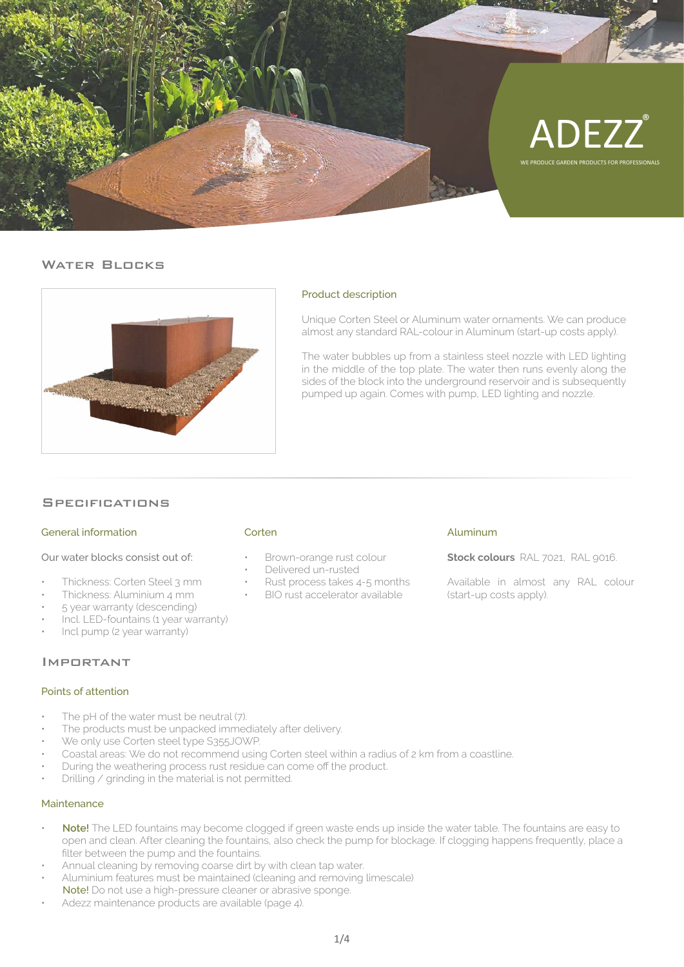

# WATER BLOCKS



# Product description

Unique Corten Steel or Aluminum water ornaments. We can produce almost any standard RAL-colour in Aluminum (start-up costs apply).

The water bubbles up from a stainless steel nozzle with LED lighting in the middle of the top plate. The water then runs evenly along the sides of the block into the underground reservoir and is subsequently pumped up again. Comes with pump, LED lighting and nozzle.

# **SPECIFICATIONS**

### General information

Our water blocks consist out of:

- Thickness: Corten Steel 3 mm
- Thickness: Aluminium 4 mm
- 5 year warranty (descending)
- Incl. LED-fountains (1 year warranty)
- Incl pump (2 year warranty)

#### Important

#### Points of attention

- The pH of the water must be neutral (7).
- The products must be unpacked immediately after delivery.
- We only use Corten steel type S355JOWP.
- Coastal areas: We do not recommend using Corten steel within a radius of 2 km from a coastline.
- During the weathering process rust residue can come off the product.
- Drilling / grinding in the material is not permitted.

#### Maintenance

- **Note!** The LED fountains may become clogged if green waste ends up inside the water table. The fountains are easy to open and clean. After cleaning the fountains, also check the pump for blockage. If clogging happens frequently, place a filter between the pump and the fountains.
- Annual cleaning by removing coarse dirt by with clean tap water.
- Aluminium features must be maintained (cleaning and removing limescale)
- Note! Do not use a high-pressure cleaner or abrasive sponge.
- Adezz maintenance products are available (page 4).

#### Corten

- Brown-orange rust colour
- Delivered un-rusted
- Rust process takes 4-5 months
- BIO rust accelerator available

#### Aluminum

**Stock colours** RAL 7021, RAL 9016.

Available in almost any RAL colour (start-up costs apply).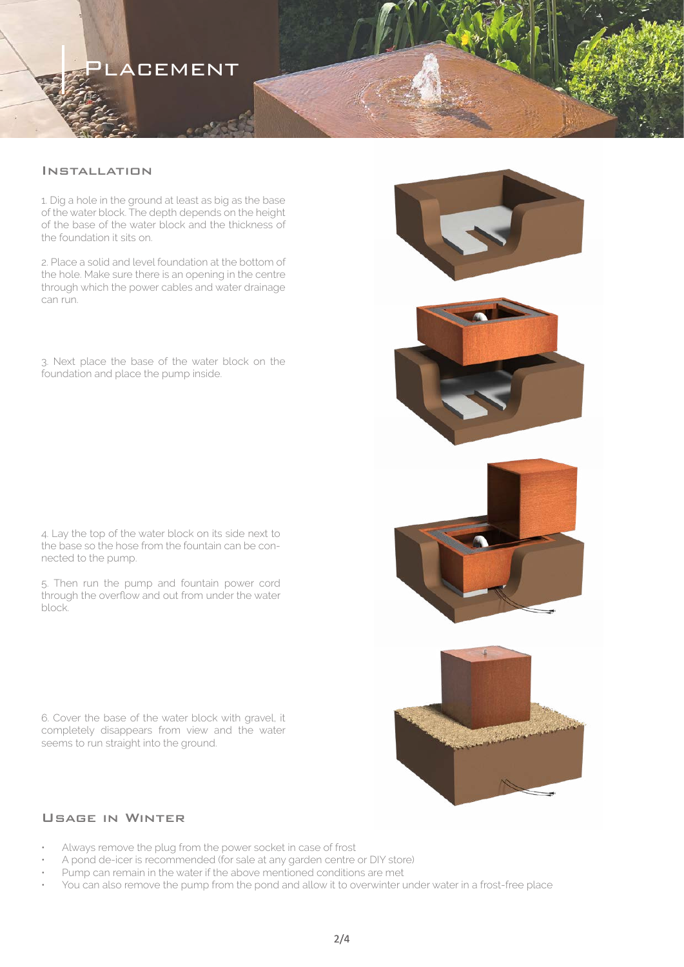# **ACEMENT**

# **INSTALLATION**

1. Dig a hole in the ground at least as big as the base of the water block. The depth depends on the height of the base of the water block and the thickness of the foundation it sits on.

2. Place a solid and level foundation at the bottom of the hole. Make sure there is an opening in the centre through which the power cables and water drainage can run.

3. Next place the base of the water block on the foundation and place the pump inside.

4. Lay the top of the water block on its side next to the base so the hose from the fountain can be connected to the pump.

5. Then run the pump and fountain power cord through the overflow and out from under the water block.

6. Cover the base of the water block with gravel, it completely disappears from view and the water seems to run straight into the ground.

# Usage in Winter

- Always remove the plug from the power socket in case of frost
- A pond de-icer is recommended (for sale at any garden centre or DIY store)
- Pump can remain in the water if the above mentioned conditions are met
- You can also remove the pump from the pond and allow it to overwinter under water in a frost-free place

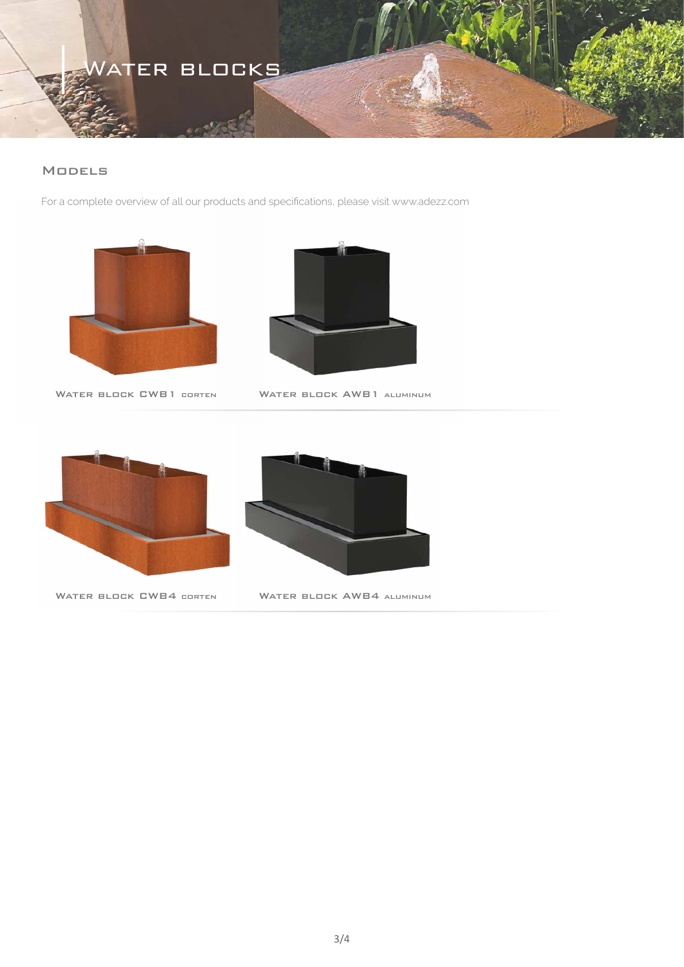# VATER BLOCKS

# Models

For a complete overview of all our products and specifications, please visit www.adezz.com





WATER BLOCK CWB1 CORTEN

WATER BLOCK AWB1 ALUMINUM





WATER BLOCK CWB4 CORTEN WATER BLOCK AWB4 ALUMINUM